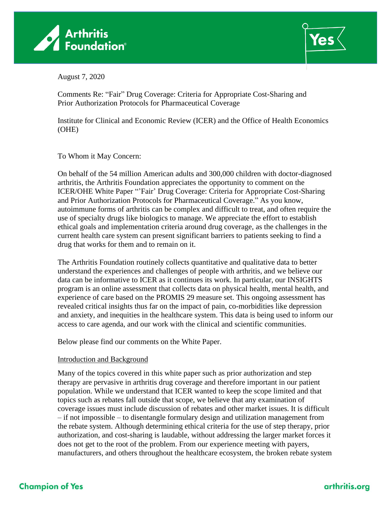



August 7, 2020

Comments Re: "Fair" Drug Coverage: Criteria for Appropriate Cost-Sharing and Prior Authorization Protocols for Pharmaceutical Coverage

Institute for Clinical and Economic Review (ICER) and the Office of Health Economics (OHE)

To Whom it May Concern:

On behalf of the 54 million American adults and 300,000 children with doctor-diagnosed arthritis, the Arthritis Foundation appreciates the opportunity to comment on the ICER/OHE White Paper "'Fair' Drug Coverage: Criteria for Appropriate Cost-Sharing and Prior Authorization Protocols for Pharmaceutical Coverage." As you know, autoimmune forms of arthritis can be complex and difficult to treat, and often require the use of specialty drugs like biologics to manage. We appreciate the effort to establish ethical goals and implementation criteria around drug coverage, as the challenges in the current health care system can present significant barriers to patients seeking to find a drug that works for them and to remain on it.

The Arthritis Foundation routinely collects quantitative and qualitative data to better understand the experiences and challenges of people with arthritis, and we believe our data can be informative to ICER as it continues its work. In particular, our INSIGHTS program is an online assessment that collects data on physical health, mental health, and experience of care based on the PROMIS 29 measure set. This ongoing assessment has revealed critical insights thus far on the impact of pain, co-morbidities like depression and anxiety, and inequities in the healthcare system. This data is being used to inform our access to care agenda, and our work with the clinical and scientific communities.

Below please find our comments on the White Paper.

### Introduction and Background

Many of the topics covered in this white paper such as prior authorization and step therapy are pervasive in arthritis drug coverage and therefore important in our patient population. While we understand that ICER wanted to keep the scope limited and that topics such as rebates fall outside that scope, we believe that any examination of coverage issues must include discussion of rebates and other market issues. It is difficult – if not impossible – to disentangle formulary design and utilization management from the rebate system. Although determining ethical criteria for the use of step therapy, prior authorization, and cost-sharing is laudable, without addressing the larger market forces it does not get to the root of the problem. From our experience meeting with payers, manufacturers, and others throughout the healthcare ecosystem, the broken rebate system

# **Champion of Yes**

# arthritis.org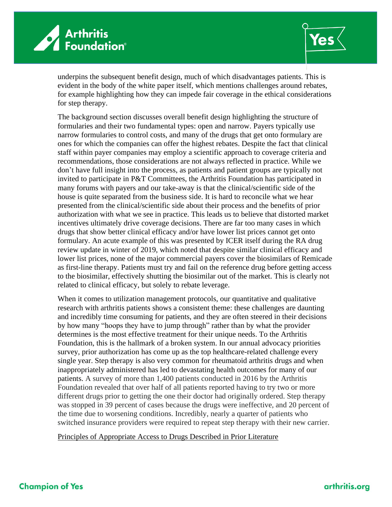



underpins the subsequent benefit design, much of which disadvantages patients. This is evident in the body of the white paper itself, which mentions challenges around rebates, for example highlighting how they can impede fair coverage in the ethical considerations for step therapy.

The background section discusses overall benefit design highlighting the structure of formularies and their two fundamental types: open and narrow. Payers typically use narrow formularies to control costs, and many of the drugs that get onto formulary are ones for which the companies can offer the highest rebates. Despite the fact that clinical staff within payer companies may employ a scientific approach to coverage criteria and recommendations, those considerations are not always reflected in practice. While we don't have full insight into the process, as patients and patient groups are typically not invited to participate in P&T Committees, the Arthritis Foundation has participated in many forums with payers and our take-away is that the clinical/scientific side of the house is quite separated from the business side. It is hard to reconcile what we hear presented from the clinical/scientific side about their process and the benefits of prior authorization with what we see in practice. This leads us to believe that distorted market incentives ultimately drive coverage decisions. There are far too many cases in which drugs that show better clinical efficacy and/or have lower list prices cannot get onto formulary. An acute example of this was presented by ICER itself during the RA drug review update in winter of 2019, which noted that despite similar clinical efficacy and lower list prices, none of the major commercial payers cover the biosimilars of Remicade as first-line therapy. Patients must try and fail on the reference drug before getting access to the biosimilar, effectively shutting the biosimilar out of the market. This is clearly not related to clinical efficacy, but solely to rebate leverage.

When it comes to utilization management protocols, our quantitative and qualitative research with arthritis patients shows a consistent theme: these challenges are daunting and incredibly time consuming for patients, and they are often steered in their decisions by how many "hoops they have to jump through" rather than by what the provider determines is the most effective treatment for their unique needs. To the Arthritis Foundation, this is the hallmark of a broken system. In our annual advocacy priorities survey, prior authorization has come up as the top healthcare-related challenge every single year. Step therapy is also very common for rheumatoid arthritis drugs and when inappropriately administered has led to devastating health outcomes for many of our patients. A survey of more than 1,400 patients conducted in 2016 by the Arthritis Foundation revealed that over half of all patients reported having to try two or more different drugs prior to getting the one their doctor had originally ordered. Step therapy was stopped in 39 percent of cases because the drugs were ineffective, and 20 percent of the time due to worsening conditions. Incredibly, nearly a quarter of patients who switched insurance providers were required to repeat step therapy with their new carrier.

Principles of Appropriate Access to Drugs Described in Prior Literature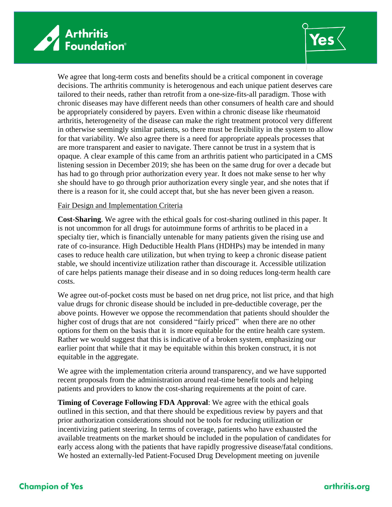



We agree that long-term costs and benefits should be a critical component in coverage decisions. The arthritis community is heterogenous and each unique patient deserves care tailored to their needs, rather than retrofit from a one-size-fits-all paradigm. Those with chronic diseases may have different needs than other consumers of health care and should be appropriately considered by payers. Even within a chronic disease like rheumatoid arthritis, heterogeneity of the disease can make the right treatment protocol very different in otherwise seemingly similar patients, so there must be flexibility in the system to allow for that variability. We also agree there is a need for appropriate appeals processes that are more transparent and easier to navigate. There cannot be trust in a system that is opaque. A clear example of this came from an arthritis patient who participated in a CMS listening session in December 2019; she has been on the same drug for over a decade but has had to go through prior authorization every year. It does not make sense to her why she should have to go through prior authorization every single year, and she notes that if there is a reason for it, she could accept that, but she has never been given a reason.

#### Fair Design and Implementation Criteria

**Cost-Sharing**. We agree with the ethical goals for cost-sharing outlined in this paper. It is not uncommon for all drugs for autoimmune forms of arthritis to be placed in a specialty tier, which is financially untenable for many patients given the rising use and rate of co-insurance. High Deductible Health Plans (HDHPs) may be intended in many cases to reduce health care utilization, but when trying to keep a chronic disease patient stable, we should incentivize utilization rather than discourage it. Accessible utilization of care helps patients manage their disease and in so doing reduces long-term health care costs.

We agree out-of-pocket costs must be based on net drug price, not list price, and that high value drugs for chronic disease should be included in pre-deductible coverage, per the above points. However we oppose the recommendation that patients should shoulder the higher cost of drugs that are not considered "fairly priced" when there are no other options for them on the basis that it is more equitable for the entire health care system. Rather we would suggest that this is indicative of a broken system, emphasizing our earlier point that while that it may be equitable within this broken construct, it is not equitable in the aggregate.

We agree with the implementation criteria around transparency, and we have supported recent proposals from the administration around real-time benefit tools and helping patients and providers to know the cost-sharing requirements at the point of care.

**Timing of Coverage Following FDA Approval**: We agree with the ethical goals outlined in this section, and that there should be expeditious review by payers and that prior authorization considerations should not be tools for reducing utilization or incentivizing patient steering. In terms of coverage, patients who have exhausted the available treatments on the market should be included in the population of candidates for early access along with the patients that have rapidly progressive disease/fatal conditions. We hosted an externally-led Patient-Focused Drug Development meeting on juvenile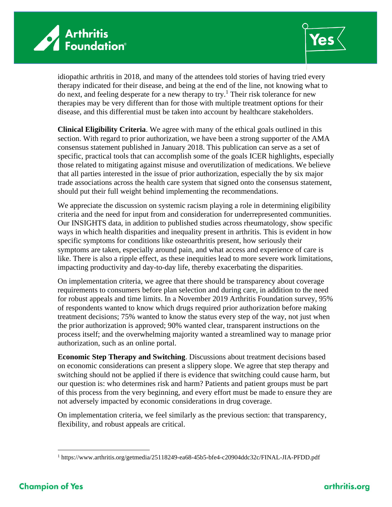



idiopathic arthritis in 2018, and many of the attendees told stories of having tried every therapy indicated for their disease, and being at the end of the line, not knowing what to do next, and feeling desperate for a new therapy to try.<sup>1</sup> Their risk tolerance for new therapies may be very different than for those with multiple treatment options for their disease, and this differential must be taken into account by healthcare stakeholders.

**Clinical Eligibility Criteria**. We agree with many of the ethical goals outlined in this section. With regard to prior authorization, we have been a strong supporter of the AMA consensus statement published in January 2018. This publication can serve as a set of specific, practical tools that can accomplish some of the goals ICER highlights, especially those related to mitigating against misuse and overutilization of medications. We believe that all parties interested in the issue of prior authorization, especially the by six major trade associations across the health care system that signed onto the consensus statement, should put their full weight behind implementing the recommendations.

We appreciate the discussion on systemic racism playing a role in determining eligibility criteria and the need for input from and consideration for underrepresented communities. Our INSIGHTS data, in addition to published studies across rheumatology, show specific ways in which health disparities and inequality present in arthritis. This is evident in how specific symptoms for conditions like osteoarthritis present, how seriously their symptoms are taken, especially around pain, and what access and experience of care is like. There is also a ripple effect, as these inequities lead to more severe work limitations, impacting productivity and day-to-day life, thereby exacerbating the disparities.

On implementation criteria, we agree that there should be transparency about coverage requirements to consumers before plan selection and during care, in addition to the need for robust appeals and time limits. In a November 2019 Arthritis Foundation survey, 95% of respondents wanted to know which drugs required prior authorization before making treatment decisions; 75% wanted to know the status every step of the way, not just when the prior authorization is approved; 90% wanted clear, transparent instructions on the process itself; and the overwhelming majority wanted a streamlined way to manage prior authorization, such as an online portal.

**Economic Step Therapy and Switching**. Discussions about treatment decisions based on economic considerations can present a slippery slope. We agree that step therapy and switching should not be applied if there is evidence that switching could cause harm, but our question is: who determines risk and harm? Patients and patient groups must be part of this process from the very beginning, and every effort must be made to ensure they are not adversely impacted by economic considerations in drug coverage.

On implementation criteria, we feel similarly as the previous section: that transparency, flexibility, and robust appeals are critical.

<sup>1</sup> <https://www.arthritis.org/getmedia/25118249-ea68-45b5-bfe4-c20904ddc32c/FINAL-JIA-PFDD.pdf>